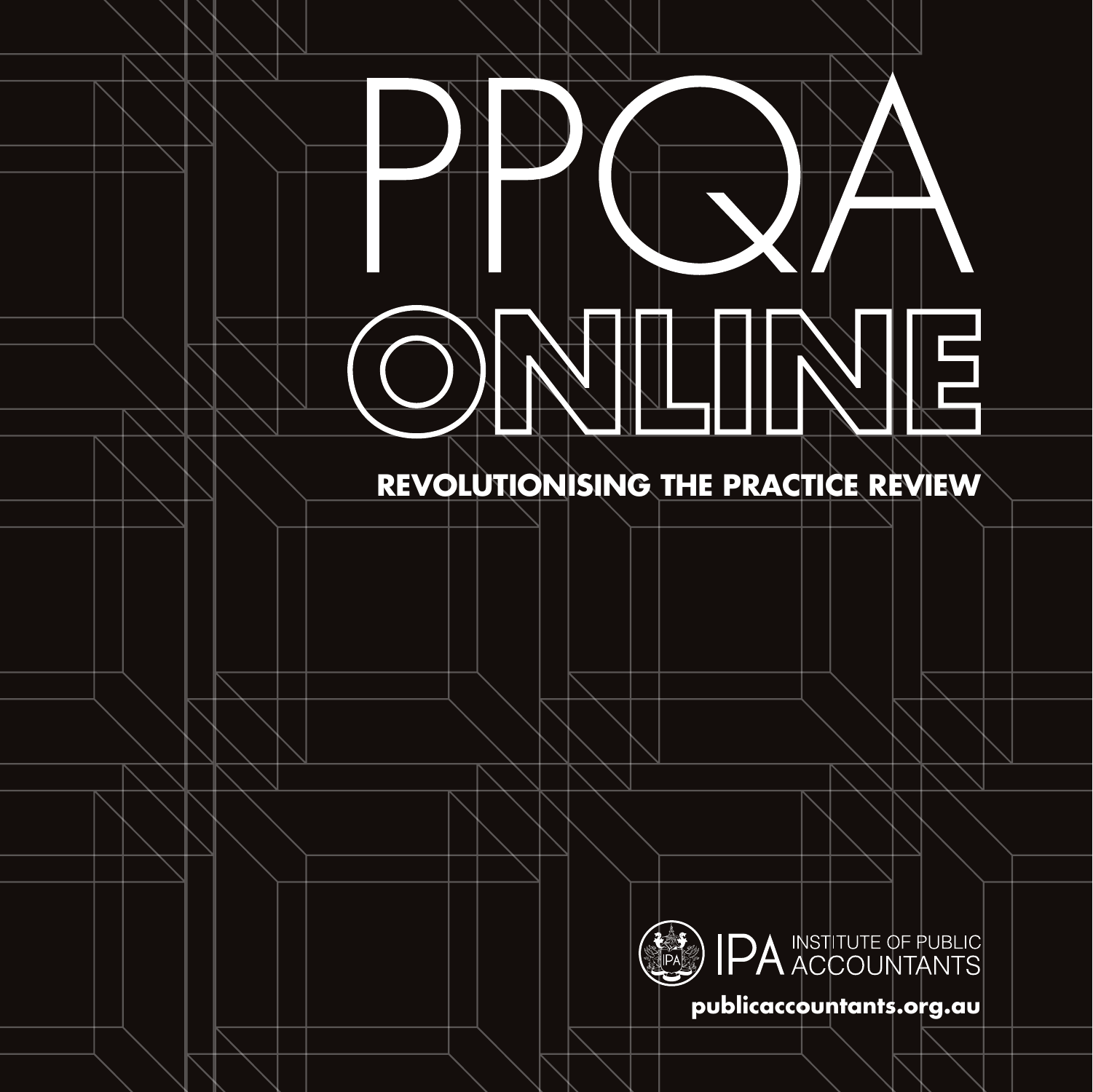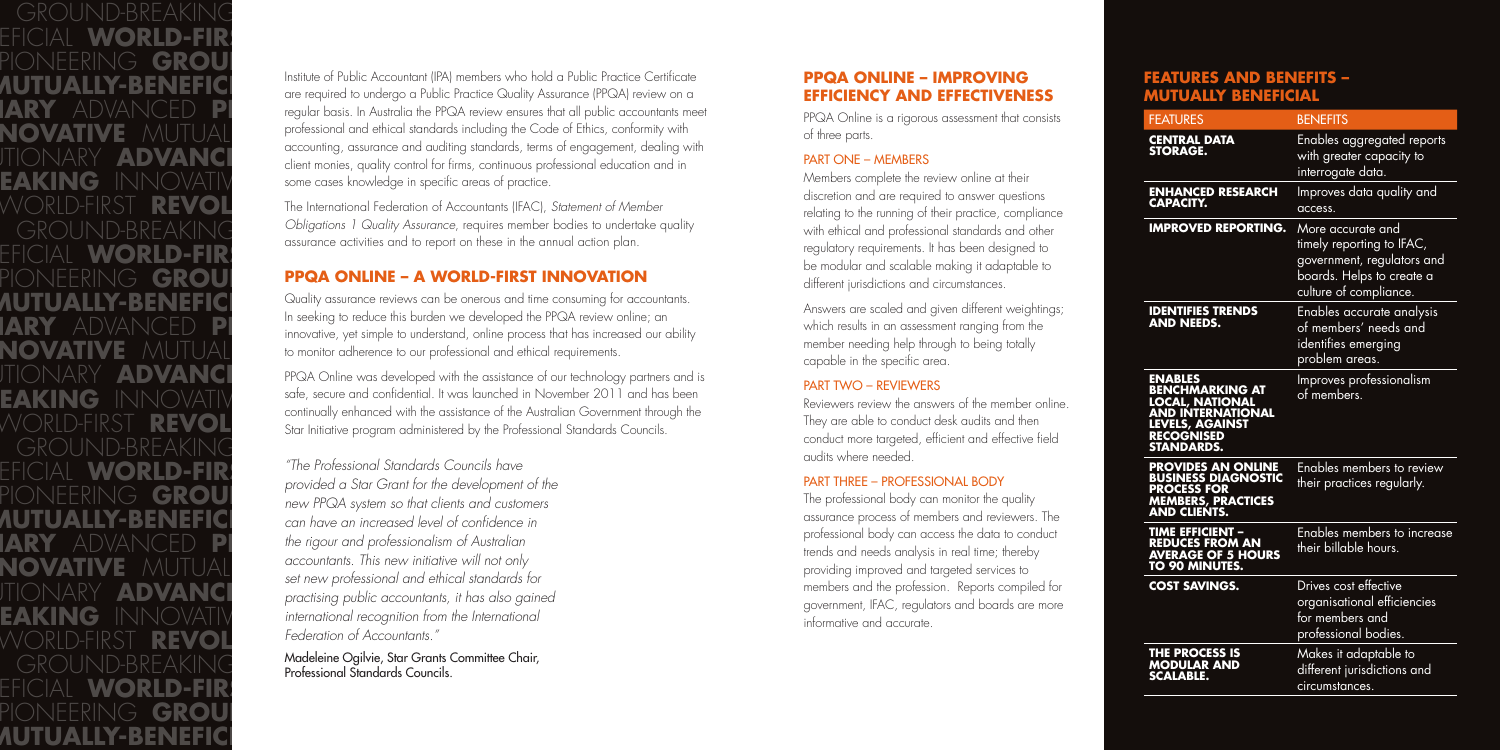## **FEATURES AND BENEFITS – MUTUALLY BENEFICIAL**

| <b>FEATURES</b>                                                                                                                                      | <b>BENEFITS</b>                                                                                                                     |
|------------------------------------------------------------------------------------------------------------------------------------------------------|-------------------------------------------------------------------------------------------------------------------------------------|
| <b>CENTRAL DATA</b><br><b>STORAGE.</b>                                                                                                               | Enables aggregated reports<br>with greater capacity to<br>interrogate data.                                                         |
| <b>ENHANCED RESEARCH</b><br>CAPACITY.                                                                                                                | Improves data quality and<br>access.                                                                                                |
| <b>IMPROVED REPORTING.</b>                                                                                                                           | More accurate and<br>timely reporting to IFAC,<br>government, regulators and<br>boards. Helps to create a<br>culture of compliance. |
| <b>IDENTIFIES TRENDS</b><br><b>AND NEEDS.</b>                                                                                                        | Enables accurate analysis<br>of members' needs and<br>identifies emerging<br>problem areas.                                         |
| <b>ENABLES</b><br><b>BENCHMARKING AT</b><br>LOCAL, NATIONAL<br><b>AND INTERNATIONAL</b><br>LEVELS, AGAINST<br><b>RECOGNISED</b><br><b>STANDARDS.</b> | Improves professionalism<br>of members.                                                                                             |
| <b>PROVIDES AN ONLINE</b><br><b>BUSINESS DIAGNOSTIC</b><br><b>PROCESS FOR</b><br>MEMBERS, PRACTICES<br>AND CLIENTS.                                  | <b>Enables members to review</b><br>their practices regularly.                                                                      |
| <b>TIME EFFICIENT -</b><br><b>ENDUCES FROM AN<br/>AVERAGE OF 5 HOURS<br/>TO 90 MINUTES.</b>                                                          | Enables members to increase<br>their billable hours.                                                                                |
| <b>COST SAVINGS.</b>                                                                                                                                 | Drives cost effective<br>organisational efficiencies<br>for members and<br>professional bodies.                                     |
| <b>THE PROCESS IS</b><br><b>MODULAR AND</b><br><b>SCALABLE.</b>                                                                                      | Makes it adaptable to<br>different jurisdictions and<br>circumstances.                                                              |

WORLD-FIRST **REVOLUTIONARY** ADVANCED

**PIONAL BREAKING** EFICIAL **WORLD-FIR**S **AUTUALLY-BENEFICI**<br>**PIONEERING GROUND-BREAKING**<br>The required to undergo a Pu **EAKING** INNOVATIV some cases knowledge in specific areas of practice. EFICIAL **WORLD-FIR**ST **REVOLUTION** PIONEERING **GROU** PPQA ONLINE – *I* **EAKING** INNOVATIV safe, secure and contiactive **Mustangly** GROUND-BREAKING **Internative Active IARY** ADVANCED **PI** the rigour and professionalism of Australian *i* **BENOLUTION Federation of Accountants." PIONEERING** GROUND-BREAKING **INNOVATIVE**  Professional Standards Councils. EFICIAL **WORLD-FIR**ST **REVOLUTION** PIONEERING **GROU**I INNOVATIVE **MUTUALLY-BENEFICIAL** WORLD-FIRST

Answers are scaled and given different weightings; which results in an assessment ranging from the member needing help through to being totally capable in the specific area.

**ADVANCED PI** regular basis. In Australia the PPQA review ensures that all public accountants meet **NOVATIVE** MUTUAL professional and ethical standards including the Code of Ethics, conformity with<br>Consequential assurance and qualities standards, terms of engagement, dealing w TIONARY **ADVANCE PIONEERING COMMANCE PIONEERING CONTAINS PIONEERING CONTAINS PIONEERING CONTAINS PIONEERING CONTAINS PIONEERING CONTAINS PIONEERING CONTAINS PIONEERING CONTAINS PIONEERING CONTAINS PIONE** Institute of Public Accountant (IPA) members who hold a Public Practice Certificate are required to undergo a Public Practice Quality Assurance (PPQA) review on a accounting, assurance and auditing standards, terms of engagement, dealing with

**BENOLUTION The International Federation of Accountants (IFAC),** *Statement of Member* $\overline{\text{R}}$ GROUND-BREAKING <sup>Obligations I Quality Assurance, requires member bodies to underta<br>assurance activities and to report on these in the annual action plan.</sup> *Obligations 1 Quality Assurance*, requires member bodies to undertake quality

 $\textrm{FINARY}$  **ADVANCE** PPQA Online was developed with the assistance of our technology partners and is WORLD-FIRST **REVOL** Star Initiative program administered by the Professional Standards Councils. safe, secure and confidential. It was launched in November 2011 and has been continually enhanced with the assistance of the Australian Government through the

# **PPQA ONLINE – IMPROVING EFFICIENCY AND EFFECTIVENESS**

PPQA Online is a rigorous assessment that consists of three parts.

#### PART ONE – MEMBERS

EFICIAL **WORLD-FIR!**<br>PLON IFFOIN IQ **CRANT** *provided a Star Grant for the development of the* PIONEERING **GROU** *provided a sign client for the development of the* **AUTUALLY-BENEFICI** can have an increased level of confidence in **NOVATIVE** MUTUAL *accountants. This new initiative will not only*<br>set new professional and ethical standards for **FIONARY ADVANCE** *practising public accountants, it has also gained* **EAKING** INNOVATIV *international recognition from the International "The Professional Standards Councils have accountants. This new initiative will not only Federation of Accountants."* 

Members complete the review online at their discretion and are required to answer questions relating to the running of their practice, compliance with ethical and professional standards and other regulatory requirements. It has been designed to be modular and scalable making it adaptable to different jurisdictions and circumstances.

### PART TWO – REVIEWERS

Reviewers review the answers of the member online. They are able to conduct desk audits and then conduct more targeted, efficient and effective field audits where needed.

### PART THREE – PROFESSIONAL BODY

The professional body can monitor the quality assurance process of members and reviewers. The professional body can access the data to conduct trends and needs analysis in real time; thereby providing improved and targeted services to members and the profession. Reports compiled for government, IFAC, regulators and boards are more informative and accurate.

# **PPQA ONLINE – A WORLD-FIRST INNOVATION**

**INNOVALLY-BENEFICI** Quality assurance reviews can be onerous and time consuming for accountants. **EXPORT ADVANCED PIONE CONSUMING AGROUND-** innovative, yet simple to understand, online process that has increased our ability **NOVATIVE** MUTUAL to monitor adherence to our professional and ethical requirements. In seeking to reduce this burden we developed the PPQA review online; an

Madeleine Ogilvie, Star Grants Committee Chair,